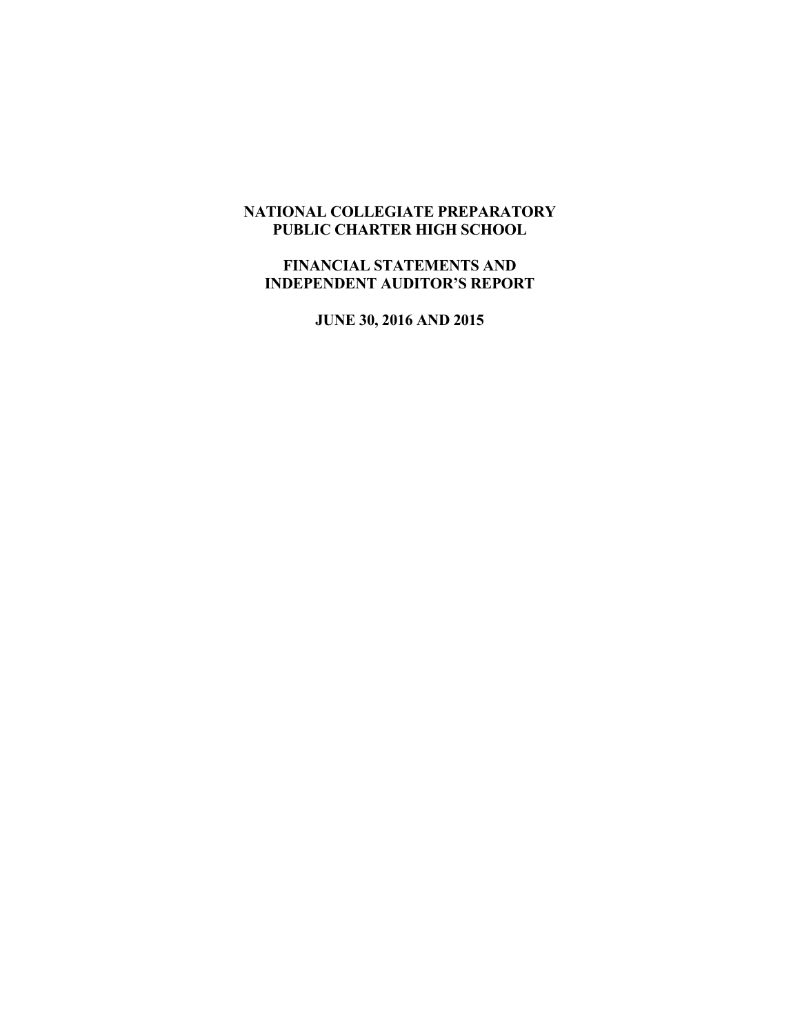## **NATIONAL COLLEGIATE PREPARATORY PUBLIC CHARTER HIGH SCHOOL**

**FINANCIAL STATEMENTS AND INDEPENDENT AUDITOR'S REPORT**

**JUNE 30, 2016 AND 2015**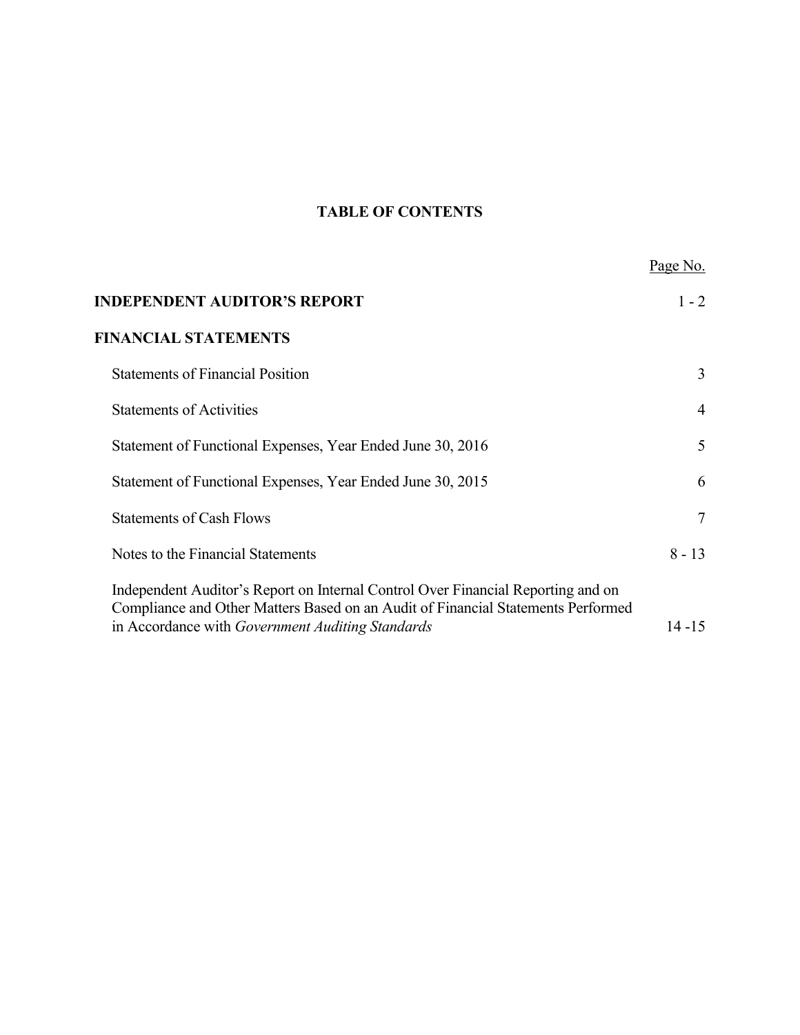# **TABLE OF CONTENTS**

|                                                                                                                                                                      | Page No.       |
|----------------------------------------------------------------------------------------------------------------------------------------------------------------------|----------------|
| <b>INDEPENDENT AUDITOR'S REPORT</b>                                                                                                                                  | $1 - 2$        |
| <b>FINANCIAL STATEMENTS</b>                                                                                                                                          |                |
| <b>Statements of Financial Position</b>                                                                                                                              | 3              |
| <b>Statements of Activities</b>                                                                                                                                      | $\overline{4}$ |
| Statement of Functional Expenses, Year Ended June 30, 2016                                                                                                           | 5              |
| Statement of Functional Expenses, Year Ended June 30, 2015                                                                                                           | 6              |
| <b>Statements of Cash Flows</b>                                                                                                                                      | $\tau$         |
| Notes to the Financial Statements                                                                                                                                    | $8 - 13$       |
| Independent Auditor's Report on Internal Control Over Financial Reporting and on<br>Compliance and Other Matters Based on an Audit of Financial Statements Performed |                |
| in Accordance with <i>Government Auditing Standards</i>                                                                                                              | $14 - 15$      |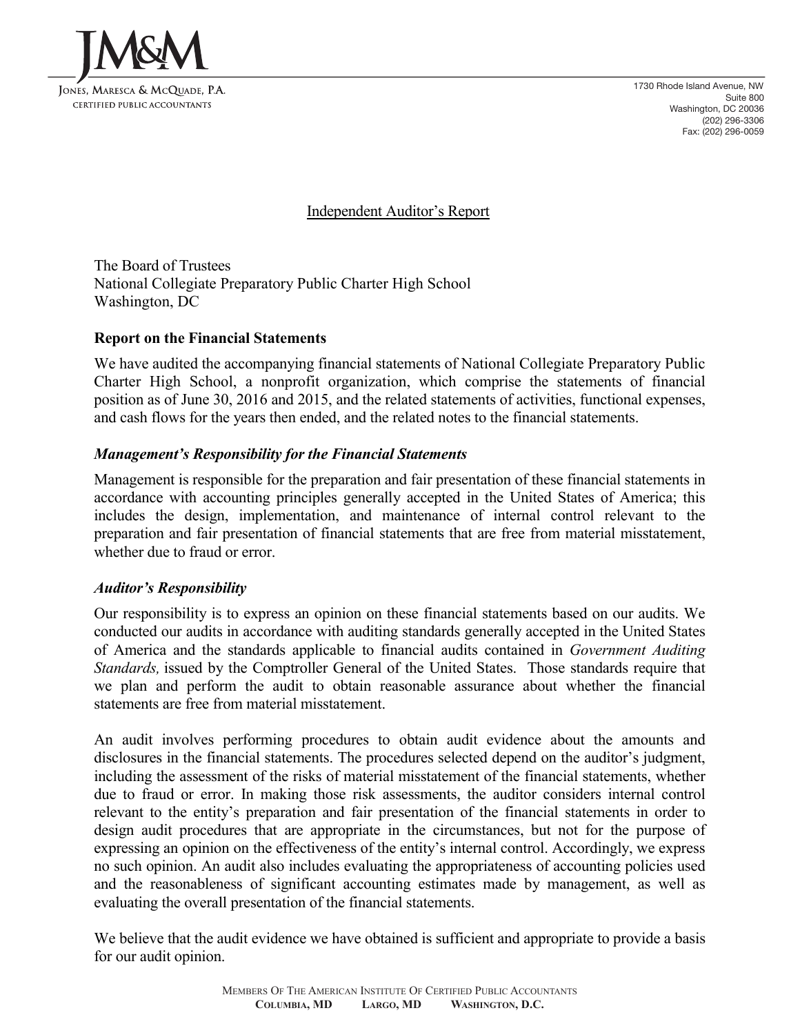

1730 Rhode Island Avenue, NW Suite 800 Washington, DC 20036 (202) 296-3306 Fax: (202) 296-0059

Independent Auditor's Report

The Board of Trustees National Collegiate Preparatory Public Charter High School Washington, DC

## **Report on the Financial Statements**

We have audited the accompanying financial statements of National Collegiate Preparatory Public Charter High School, a nonprofit organization, which comprise the statements of financial position as of June 30, 2016 and 2015, and the related statements of activities, functional expenses, and cash flows for the years then ended, and the related notes to the financial statements.

## *Management's Responsibility for the Financial Statements*

Management is responsible for the preparation and fair presentation of these financial statements in accordance with accounting principles generally accepted in the United States of America; this includes the design, implementation, and maintenance of internal control relevant to the preparation and fair presentation of financial statements that are free from material misstatement, whether due to fraud or error.

### *Auditor's Responsibility*

Our responsibility is to express an opinion on these financial statements based on our audits. We conducted our audits in accordance with auditing standards generally accepted in the United States of America and the standards applicable to financial audits contained in *Government Auditing Standards,* issued by the Comptroller General of the United States. Those standards require that we plan and perform the audit to obtain reasonable assurance about whether the financial statements are free from material misstatement.

An audit involves performing procedures to obtain audit evidence about the amounts and disclosures in the financial statements. The procedures selected depend on the auditor's judgment, including the assessment of the risks of material misstatement of the financial statements, whether due to fraud or error. In making those risk assessments, the auditor considers internal control relevant to the entity's preparation and fair presentation of the financial statements in order to design audit procedures that are appropriate in the circumstances, but not for the purpose of expressing an opinion on the effectiveness of the entity's internal control. Accordingly, we express no such opinion. An audit also includes evaluating the appropriateness of accounting policies used and the reasonableness of significant accounting estimates made by management, as well as evaluating the overall presentation of the financial statements.

We believe that the audit evidence we have obtained is sufficient and appropriate to provide a basis for our audit opinion.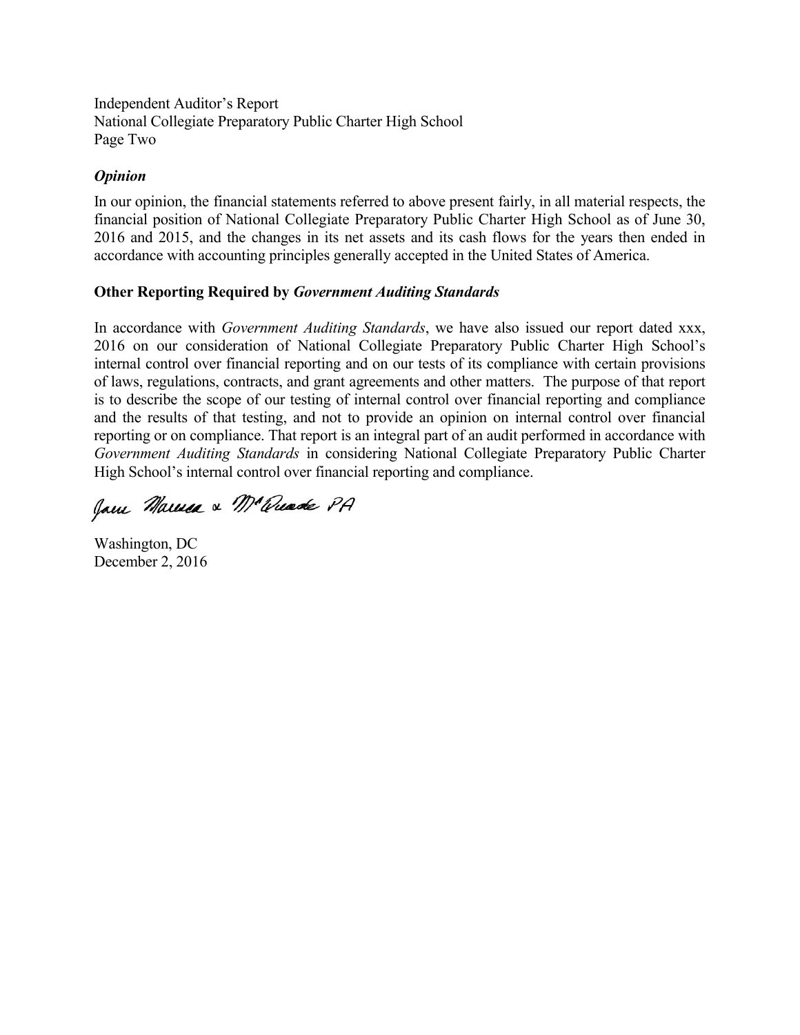Independent Auditor's Report National Collegiate Preparatory Public Charter High School Page Two

## *Opinion*

In our opinion, the financial statements referred to above present fairly, in all material respects, the financial position of National Collegiate Preparatory Public Charter High School as of June 30, 2016 and 2015, and the changes in its net assets and its cash flows for the years then ended in accordance with accounting principles generally accepted in the United States of America.

## **Other Reporting Required by** *Government Auditing Standards*

In accordance with *Government Auditing Standards*, we have also issued our report dated xxx, 2016 on our consideration of National Collegiate Preparatory Public Charter High School's internal control over financial reporting and on our tests of its compliance with certain provisions of laws, regulations, contracts, and grant agreements and other matters. The purpose of that report is to describe the scope of our testing of internal control over financial reporting and compliance and the results of that testing, and not to provide an opinion on internal control over financial reporting or on compliance. That report is an integral part of an audit performed in accordance with *Government Auditing Standards* in considering National Collegiate Preparatory Public Charter High School's internal control over financial reporting and compliance.

Jam Marca & Ma Quade PA

Washington, DC December 2, 2016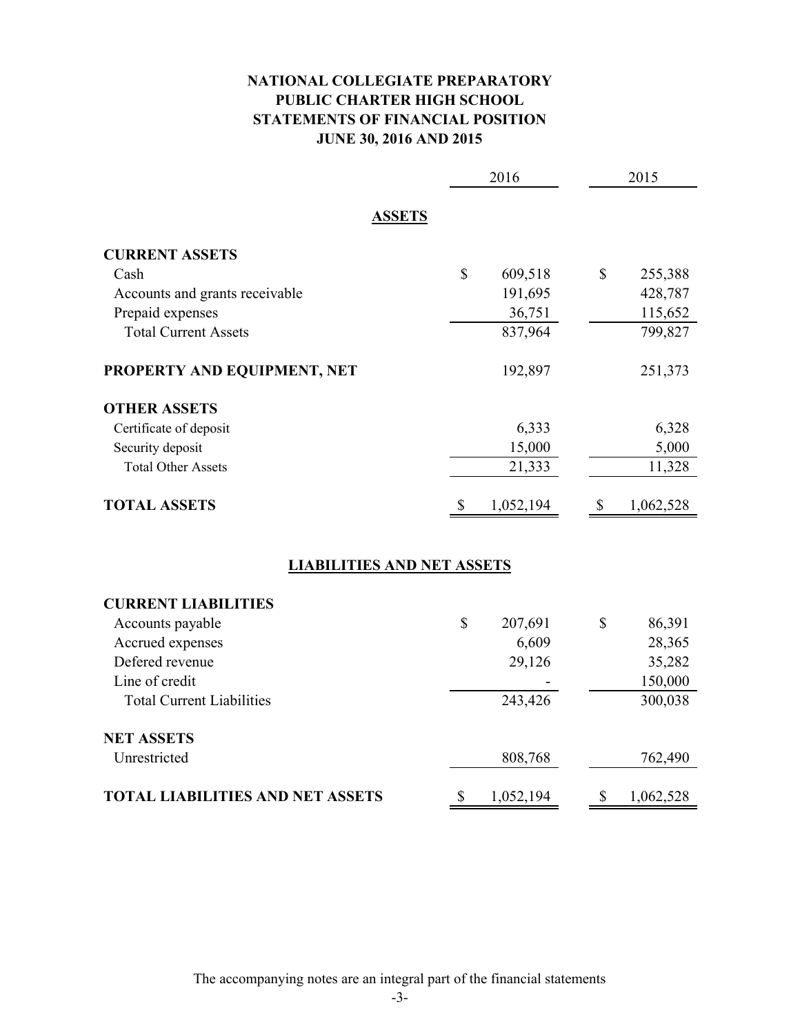## **NATIONAL COLLEGIATE PREPARATORY PUBLIC CHARTER HIGH SCHOOL STATEMENTS OF FINANCIAL POSITION JUNE 30, 2016 AND 2015**

|                                         |              | 2016      |    | 2015      |  |
|-----------------------------------------|--------------|-----------|----|-----------|--|
| <b>ASSETS</b>                           |              |           |    |           |  |
| <b>CURRENT ASSETS</b>                   |              |           |    |           |  |
| Cash                                    | $\mathbb{S}$ | 609,518   | \$ | 255,388   |  |
| Accounts and grants receivable          |              | 191,695   |    | 428,787   |  |
| Prepaid expenses                        |              | 36,751    |    | 115,652   |  |
| <b>Total Current Assets</b>             |              | 837,964   |    | 799,827   |  |
| PROPERTY AND EQUIPMENT, NET             |              | 192,897   |    | 251,373   |  |
| <b>OTHER ASSETS</b>                     |              |           |    |           |  |
| Certificate of deposit                  |              | 6,333     |    | 6,328     |  |
| Security deposit                        |              | 15,000    |    | 5,000     |  |
| <b>Total Other Assets</b>               |              | 21,333    |    | 11,328    |  |
| <b>TOTAL ASSETS</b>                     | \$           | 1,052,194 | \$ | 1,062,528 |  |
| <b>LIABILITIES AND NET ASSETS</b>       |              |           |    |           |  |
| <b>CURRENT LIABILITIES</b>              |              |           |    |           |  |
| Accounts payable                        | $\mathbf S$  | 207,691   | \$ | 86,391    |  |
| Accrued expenses                        |              | 6,609     |    | 28,365    |  |
| Defered revenue                         |              | 29,126    |    | 35,282    |  |
| Line of credit                          |              |           |    | 150,000   |  |
| <b>Total Current Liabilities</b>        |              | 243,426   |    | 300,038   |  |
| <b>NET ASSETS</b>                       |              |           |    |           |  |
| Unrestricted                            |              | 808,768   |    | 762,490   |  |
| <b>TOTAL LIABILITIES AND NET ASSETS</b> | \$           | 1,052,194 | \$ | 1,062,528 |  |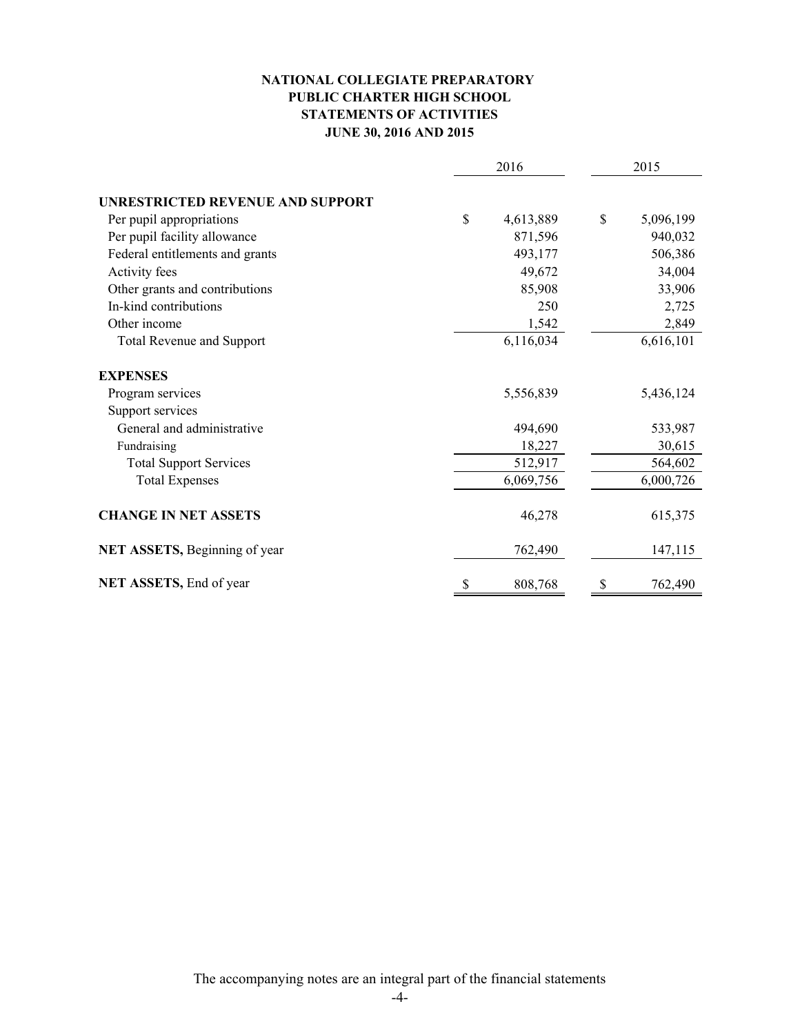### **NATIONAL COLLEGIATE PREPARATORY PUBLIC CHARTER HIGH SCHOOL STATEMENTS OF ACTIVITIES JUNE 30, 2016 AND 2015**

|                                         | 2016 |           | 2015 |           |
|-----------------------------------------|------|-----------|------|-----------|
| <b>UNRESTRICTED REVENUE AND SUPPORT</b> |      |           |      |           |
| Per pupil appropriations                | \$   | 4,613,889 | \$   | 5,096,199 |
| Per pupil facility allowance            |      | 871,596   |      | 940,032   |
| Federal entitlements and grants         |      | 493,177   |      | 506,386   |
| Activity fees                           |      | 49,672    |      | 34,004    |
| Other grants and contributions          |      | 85,908    |      | 33,906    |
| In-kind contributions                   |      | 250       |      | 2,725     |
| Other income                            |      | 1,542     |      | 2,849     |
| <b>Total Revenue and Support</b>        |      | 6,116,034 |      | 6,616,101 |
| <b>EXPENSES</b>                         |      |           |      |           |
| Program services                        |      | 5,556,839 |      | 5,436,124 |
| Support services                        |      |           |      |           |
| General and administrative              |      | 494,690   |      | 533,987   |
| Fundraising                             |      | 18,227    |      | 30,615    |
| <b>Total Support Services</b>           |      | 512,917   |      | 564,602   |
| <b>Total Expenses</b>                   |      | 6,069,756 |      | 6,000,726 |
| <b>CHANGE IN NET ASSETS</b>             |      | 46,278    |      | 615,375   |
| NET ASSETS, Beginning of year           |      | 762,490   |      | 147,115   |
| NET ASSETS, End of year                 | \$   | 808,768   | \$   | 762,490   |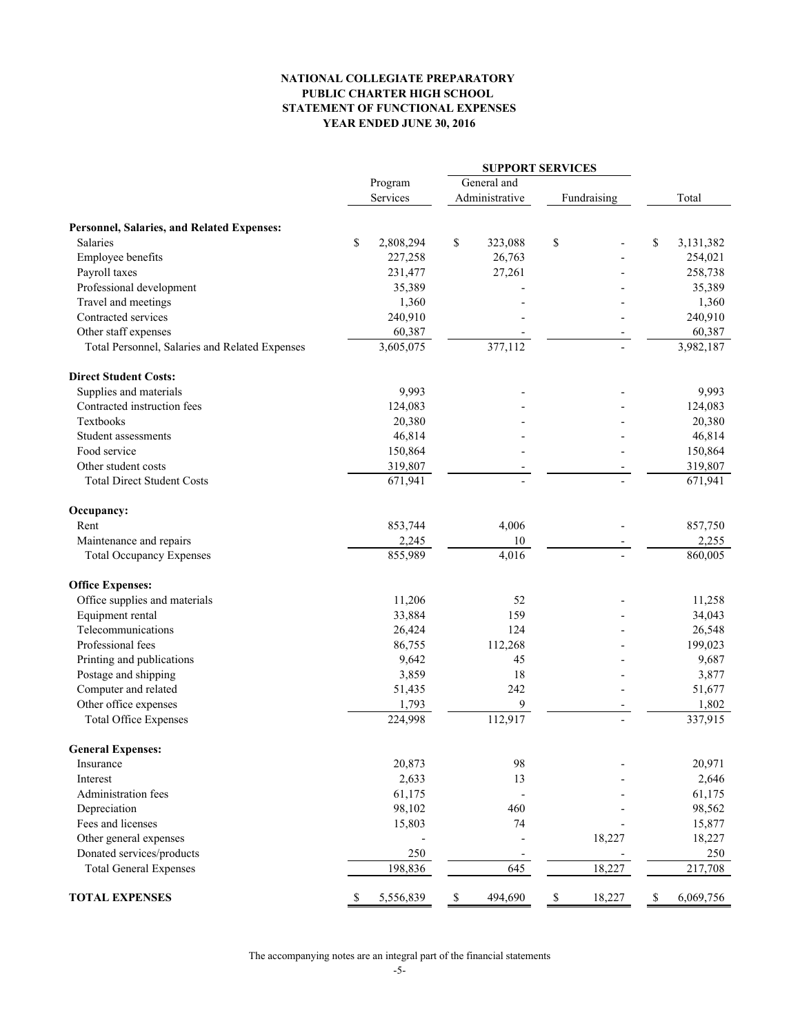#### **NATIONAL COLLEGIATE PREPARATORY PUBLIC CHARTER HIGH SCHOOL STATEMENT OF FUNCTIONAL EXPENSES YEAR ENDED JUNE 30, 2016**

|                                                   |                 | <b>SUPPORT SERVICES</b> |              |                           |  |
|---------------------------------------------------|-----------------|-------------------------|--------------|---------------------------|--|
|                                                   | Program         | General and             |              |                           |  |
|                                                   | Services        | Administrative          | Fundraising  | Total                     |  |
| <b>Personnel, Salaries, and Related Expenses:</b> |                 |                         |              |                           |  |
| <b>Salaries</b>                                   | \$<br>2,808,294 | \$<br>323,088           | \$           | \$<br>3,131,382           |  |
| Employee benefits                                 | 227,258         | 26,763                  |              | 254,021                   |  |
| Payroll taxes                                     | 231,477         | 27,261                  |              | 258,738                   |  |
| Professional development                          | 35,389          |                         |              | 35,389                    |  |
| Travel and meetings                               | 1,360           |                         |              | 1,360                     |  |
| Contracted services                               | 240,910         |                         |              | 240,910                   |  |
| Other staff expenses                              | 60,387          |                         |              | 60,387                    |  |
| Total Personnel, Salaries and Related Expenses    | 3,605,075       | 377,112                 |              | 3,982,187                 |  |
| <b>Direct Student Costs:</b>                      |                 |                         |              |                           |  |
| Supplies and materials                            | 9,993           |                         |              | 9,993                     |  |
| Contracted instruction fees                       | 124,083         |                         |              | 124,083                   |  |
| Textbooks                                         | 20,380          |                         |              | 20,380                    |  |
| Student assessments                               | 46,814          |                         |              | 46,814                    |  |
| Food service                                      | 150,864         |                         |              | 150,864                   |  |
| Other student costs                               | 319,807         |                         |              | 319,807                   |  |
| <b>Total Direct Student Costs</b>                 | 671,941         |                         |              | 671,941                   |  |
| Occupancy:                                        |                 |                         |              |                           |  |
| Rent                                              | 853,744         | 4,006                   |              | 857,750                   |  |
| Maintenance and repairs                           | 2,245           | 10                      |              | 2,255                     |  |
| <b>Total Occupancy Expenses</b>                   | 855,989         | 4,016                   |              | 860,005                   |  |
| <b>Office Expenses:</b>                           |                 |                         |              |                           |  |
| Office supplies and materials                     | 11,206          | 52                      |              | 11,258                    |  |
| Equipment rental                                  | 33,884          | 159                     |              | 34,043                    |  |
| Telecommunications                                | 26,424          | 124                     |              | 26,548                    |  |
| Professional fees                                 | 86,755          | 112,268                 |              | 199,023                   |  |
| Printing and publications                         | 9,642           | 45                      |              | 9,687                     |  |
| Postage and shipping                              | 3,859           | 18                      |              | 3,877                     |  |
| Computer and related                              | 51,435          | 242                     |              | 51,677                    |  |
| Other office expenses                             | 1,793           | 9                       |              | 1,802                     |  |
| <b>Total Office Expenses</b>                      | 224,998         | 112,917                 |              | 337,915                   |  |
| <b>General Expenses:</b>                          |                 |                         |              |                           |  |
| Insurance                                         | 20,873          | 98                      |              | 20,971                    |  |
| Interest                                          | 2,633           | 13                      |              | 2,646                     |  |
| Administration fees                               | 61,175          |                         |              | 61,175                    |  |
| Depreciation                                      | 98,102          | 460                     |              | 98,562                    |  |
| Fees and licenses                                 | 15,803          | 74                      |              | 15,877                    |  |
| Other general expenses                            |                 |                         | 18,227       | 18,227                    |  |
| Donated services/products                         | 250             |                         |              | 250                       |  |
| <b>Total General Expenses</b>                     | 198,836         | 645                     | 18,227       | 217,708                   |  |
| <b>TOTAL EXPENSES</b>                             | \$<br>5,556,839 | $\mathbb S$<br>494,690  | \$<br>18,227 | $\mathbb{S}$<br>6,069,756 |  |

The accompanying notes are an integral part of the financial statements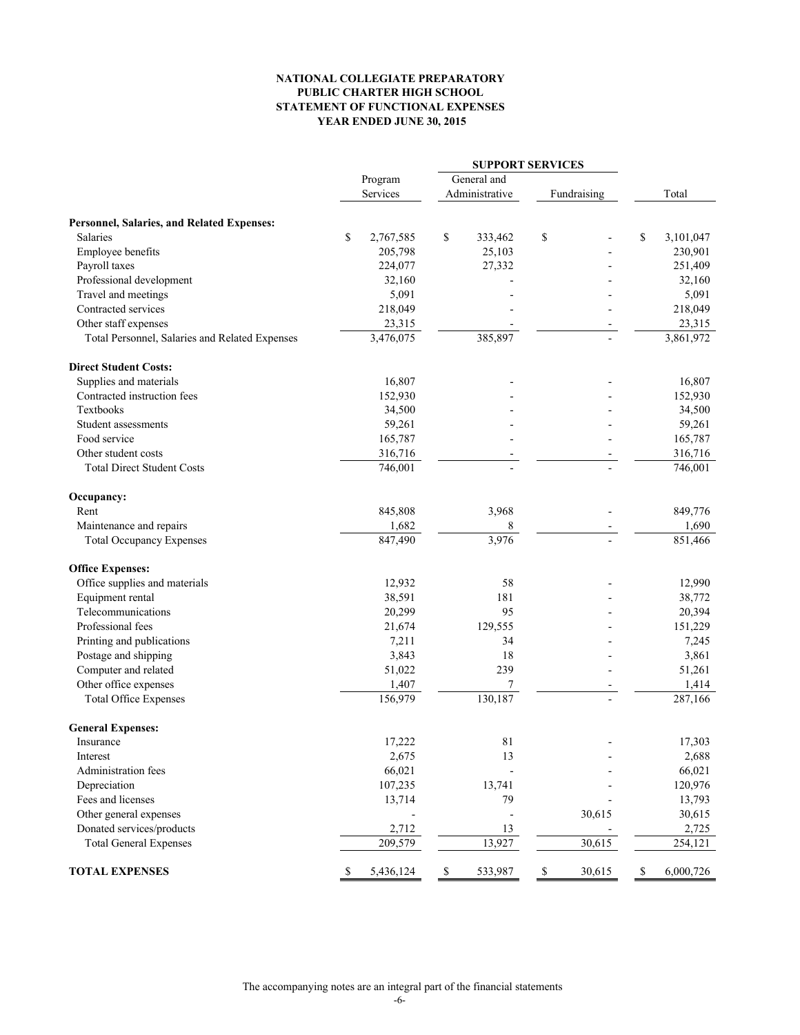#### **NATIONAL COLLEGIATE PREPARATORY PUBLIC CHARTER HIGH SCHOOL STATEMENT OF FUNCTIONAL EXPENSES YEAR ENDED JUNE 30, 2015**

|                                                |                 | <b>SUPPORT SERVICES</b> |              |                 |
|------------------------------------------------|-----------------|-------------------------|--------------|-----------------|
|                                                | Program         | General and             |              |                 |
|                                                | Services        | Administrative          | Fundraising  | Total           |
| Personnel, Salaries, and Related Expenses:     |                 |                         |              |                 |
| <b>Salaries</b>                                | \$<br>2,767,585 | \$<br>333,462           | \$           | \$<br>3,101,047 |
| Employee benefits                              | 205,798         | 25,103                  |              | 230,901         |
| Payroll taxes                                  | 224,077         | 27,332                  |              | 251,409         |
| Professional development                       | 32,160          |                         |              | 32,160          |
| Travel and meetings                            | 5,091           |                         |              | 5,091           |
| Contracted services                            | 218,049         |                         |              | 218,049         |
| Other staff expenses                           | 23,315          |                         |              | 23,315          |
| Total Personnel, Salaries and Related Expenses | 3,476,075       | 385,897                 |              | 3,861,972       |
| <b>Direct Student Costs:</b>                   |                 |                         |              |                 |
| Supplies and materials                         | 16,807          |                         |              | 16,807          |
| Contracted instruction fees                    | 152,930         |                         |              | 152,930         |
| Textbooks                                      | 34,500          |                         |              | 34,500          |
| Student assessments                            | 59,261          |                         |              | 59,261          |
| Food service                                   | 165,787         |                         |              | 165,787         |
| Other student costs                            | 316,716         | -                       |              | 316,716         |
| <b>Total Direct Student Costs</b>              | 746,001         |                         |              | 746,001         |
| Occupancy:                                     |                 |                         |              |                 |
| Rent                                           | 845,808         | 3,968                   |              | 849,776         |
| Maintenance and repairs                        | 1,682           | 8                       |              | 1,690           |
| <b>Total Occupancy Expenses</b>                | 847,490         | 3,976                   |              | 851,466         |
| <b>Office Expenses:</b>                        |                 |                         |              |                 |
| Office supplies and materials                  | 12,932          | 58                      |              | 12,990          |
| Equipment rental                               | 38,591          | 181                     |              | 38,772          |
| Telecommunications                             | 20,299          | 95                      |              | 20,394          |
| Professional fees                              | 21,674          | 129,555                 |              | 151,229         |
| Printing and publications                      | 7,211           | 34                      |              | 7,245           |
| Postage and shipping                           | 3,843           | 18                      |              | 3,861           |
| Computer and related                           | 51,022          | 239                     |              | 51,261          |
| Other office expenses                          | 1,407           | $\overline{7}$          |              | 1,414           |
| <b>Total Office Expenses</b>                   | 156,979         | 130,187                 |              | 287,166         |
| <b>General Expenses:</b>                       |                 |                         |              |                 |
| Insurance                                      | 17,222          | 81                      |              | 17,303          |
| Interest                                       | 2,675           | 13                      |              | 2,688           |
| Administration fees                            | 66,021          |                         |              | 66,021          |
| Depreciation                                   | 107,235         | 13,741                  |              | 120,976         |
| Fees and licenses                              | 13,714          | 79                      |              | 13,793          |
| Other general expenses                         |                 | $\overline{a}$          | 30,615       | 30,615          |
| Donated services/products                      | 2,712           | 13                      |              | 2,725           |
| <b>Total General Expenses</b>                  | 209,579         | 13,927                  | 30,615       | 254,121         |
| <b>TOTAL EXPENSES</b>                          | 5,436,124<br>S  | \$<br>533,987           | \$<br>30,615 | \$<br>6,000,726 |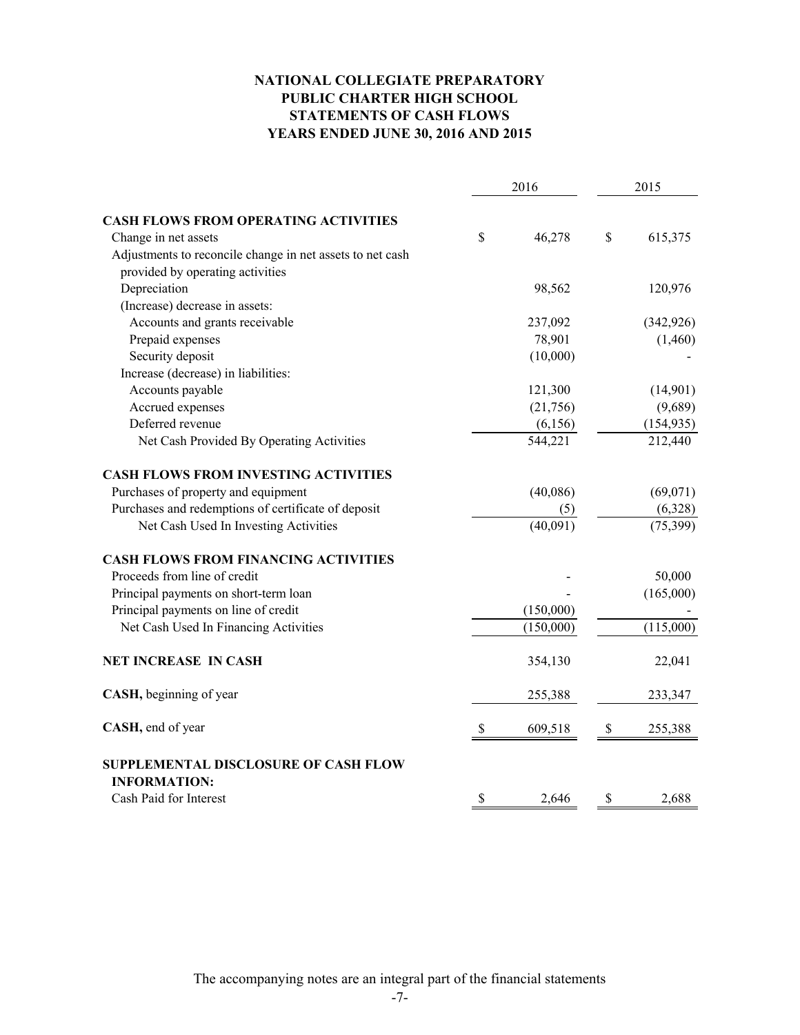## **NATIONAL COLLEGIATE PREPARATORY PUBLIC CHARTER HIGH SCHOOL STATEMENTS OF CASH FLOWS YEARS ENDED JUNE 30, 2016 AND 2015**

|                                                             | 2016 |           | 2015 |            |
|-------------------------------------------------------------|------|-----------|------|------------|
| <b>CASH FLOWS FROM OPERATING ACTIVITIES</b>                 |      |           |      |            |
| Change in net assets                                        | \$   | 46,278    | \$   | 615,375    |
| Adjustments to reconcile change in net assets to net cash   |      |           |      |            |
| provided by operating activities                            |      |           |      |            |
| Depreciation                                                |      |           |      | 120,976    |
|                                                             |      | 98,562    |      |            |
| (Increase) decrease in assets:                              |      |           |      |            |
| Accounts and grants receivable                              |      | 237,092   |      | (342, 926) |
| Prepaid expenses                                            |      | 78,901    |      | (1,460)    |
| Security deposit                                            |      | (10,000)  |      |            |
| Increase (decrease) in liabilities:                         |      |           |      |            |
| Accounts payable                                            |      | 121,300   |      | (14,901)   |
| Accrued expenses                                            |      | (21,756)  |      | (9,689)    |
| Deferred revenue                                            |      | (6, 156)  |      | (154, 935) |
| Net Cash Provided By Operating Activities                   |      | 544,221   |      | 212,440    |
| <b>CASH FLOWS FROM INVESTING ACTIVITIES</b>                 |      |           |      |            |
| Purchases of property and equipment                         |      | (40,086)  |      | (69,071)   |
| Purchases and redemptions of certificate of deposit         |      | (5)       |      | (6,328)    |
| Net Cash Used In Investing Activities                       |      | (40,091)  |      | (75, 399)  |
| <b>CASH FLOWS FROM FINANCING ACTIVITIES</b>                 |      |           |      |            |
| Proceeds from line of credit                                |      |           |      | 50,000     |
| Principal payments on short-term loan                       |      |           |      | (165,000)  |
| Principal payments on line of credit                        |      | (150,000) |      |            |
| Net Cash Used In Financing Activities                       |      | (150,000) |      | (115,000)  |
| <b>NET INCREASE IN CASH</b>                                 |      | 354,130   |      | 22,041     |
| CASH, beginning of year                                     |      | 255,388   |      | 233,347    |
| CASH, end of year                                           | \$   | 609,518   | \$   | 255,388    |
| SUPPLEMENTAL DISCLOSURE OF CASH FLOW<br><b>INFORMATION:</b> |      |           |      |            |
| Cash Paid for Interest                                      | \$   | 2,646     | S    | 2,688      |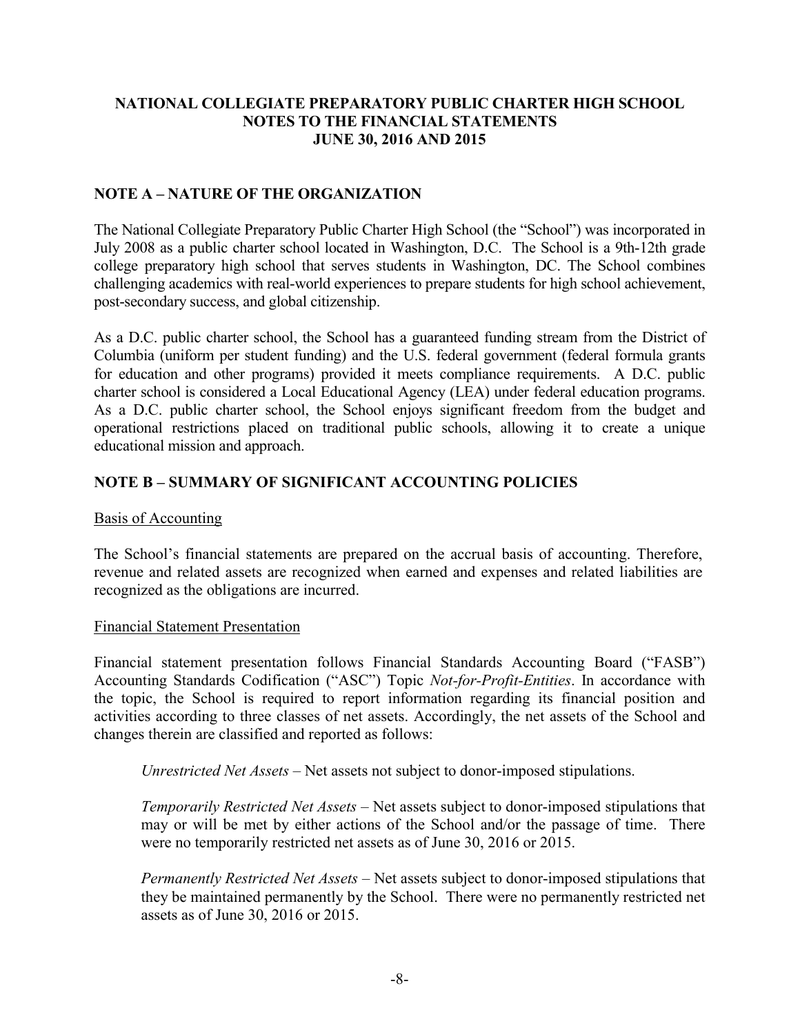## **NOTE A – NATURE OF THE ORGANIZATION**

The National Collegiate Preparatory Public Charter High School (the "School") was incorporated in July 2008 as a public charter school located in Washington, D.C. The School is a 9th-12th grade college preparatory high school that serves students in Washington, DC. The School combines challenging academics with real-world experiences to prepare students for high school achievement, post-secondary success, and global citizenship.

As a D.C. public charter school, the School has a guaranteed funding stream from the District of Columbia (uniform per student funding) and the U.S. federal government (federal formula grants for education and other programs) provided it meets compliance requirements. A D.C. public charter school is considered a Local Educational Agency (LEA) under federal education programs. As a D.C. public charter school, the School enjoys significant freedom from the budget and operational restrictions placed on traditional public schools, allowing it to create a unique educational mission and approach.

## **NOTE B – SUMMARY OF SIGNIFICANT ACCOUNTING POLICIES**

## Basis of Accounting

The School's financial statements are prepared on the accrual basis of accounting. Therefore, revenue and related assets are recognized when earned and expenses and related liabilities are recognized as the obligations are incurred.

### Financial Statement Presentation

Financial statement presentation follows Financial Standards Accounting Board ("FASB") Accounting Standards Codification ("ASC") Topic *Not-for-Profit-Entities*. In accordance with the topic, the School is required to report information regarding its financial position and activities according to three classes of net assets. Accordingly, the net assets of the School and changes therein are classified and reported as follows:

*Unrestricted Net Assets* – Net assets not subject to donor-imposed stipulations.

*Temporarily Restricted Net Assets* – Net assets subject to donor-imposed stipulations that may or will be met by either actions of the School and/or the passage of time. There were no temporarily restricted net assets as of June 30, 2016 or 2015.

*Permanently Restricted Net Assets* – Net assets subject to donor-imposed stipulations that they be maintained permanently by the School. There were no permanently restricted net assets as of June 30, 2016 or 2015.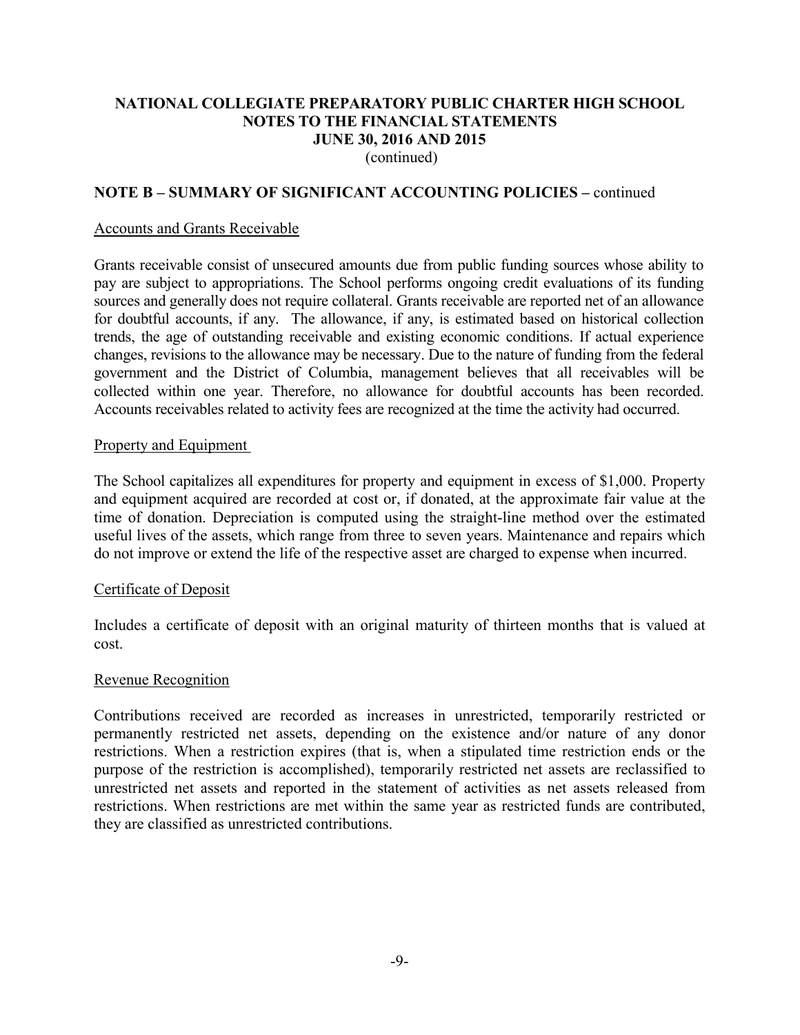(continued)

## **NOTE B – SUMMARY OF SIGNIFICANT ACCOUNTING POLICIES –** continued

#### Accounts and Grants Receivable

Grants receivable consist of unsecured amounts due from public funding sources whose ability to pay are subject to appropriations. The School performs ongoing credit evaluations of its funding sources and generally does not require collateral. Grants receivable are reported net of an allowance for doubtful accounts, if any. The allowance, if any, is estimated based on historical collection trends, the age of outstanding receivable and existing economic conditions. If actual experience changes, revisions to the allowance may be necessary. Due to the nature of funding from the federal government and the District of Columbia, management believes that all receivables will be collected within one year. Therefore, no allowance for doubtful accounts has been recorded. Accounts receivables related to activity fees are recognized at the time the activity had occurred.

#### Property and Equipment

The School capitalizes all expenditures for property and equipment in excess of \$1,000. Property and equipment acquired are recorded at cost or, if donated, at the approximate fair value at the time of donation. Depreciation is computed using the straight-line method over the estimated useful lives of the assets, which range from three to seven years. Maintenance and repairs which do not improve or extend the life of the respective asset are charged to expense when incurred.

### Certificate of Deposit

Includes a certificate of deposit with an original maturity of thirteen months that is valued at cost.

#### Revenue Recognition

Contributions received are recorded as increases in unrestricted, temporarily restricted or permanently restricted net assets, depending on the existence and/or nature of any donor restrictions. When a restriction expires (that is, when a stipulated time restriction ends or the purpose of the restriction is accomplished), temporarily restricted net assets are reclassified to unrestricted net assets and reported in the statement of activities as net assets released from restrictions. When restrictions are met within the same year as restricted funds are contributed, they are classified as unrestricted contributions.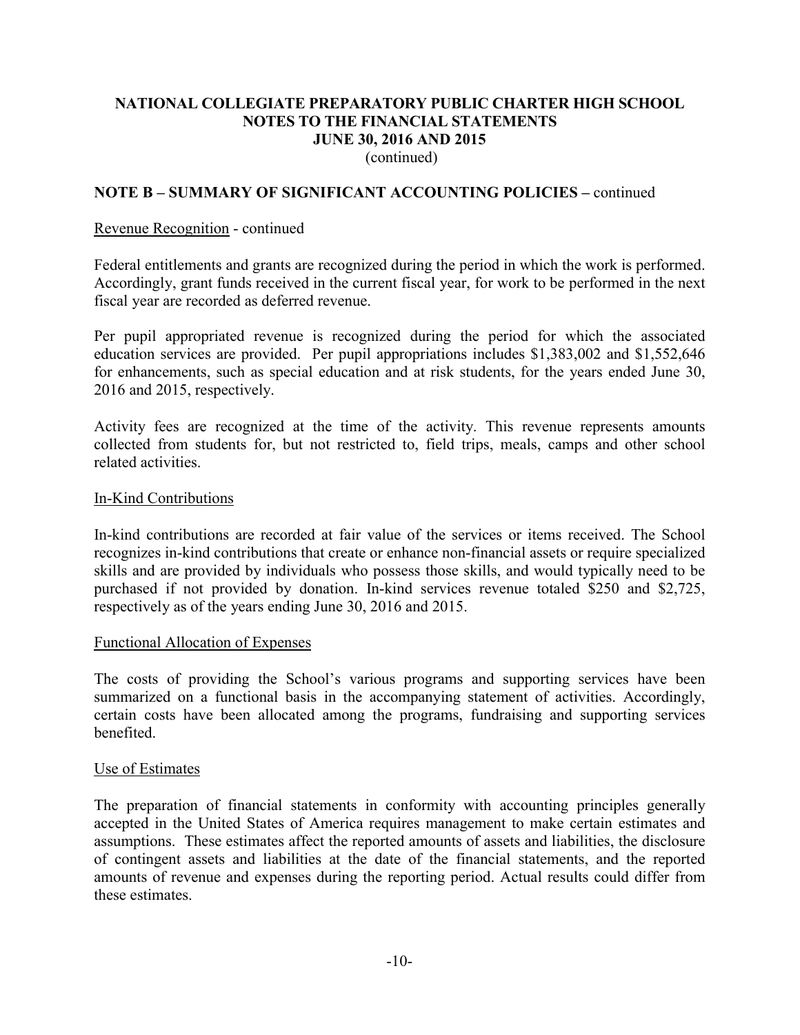(continued)

## **NOTE B – SUMMARY OF SIGNIFICANT ACCOUNTING POLICIES –** continued

#### Revenue Recognition - continued

Federal entitlements and grants are recognized during the period in which the work is performed. Accordingly, grant funds received in the current fiscal year, for work to be performed in the next fiscal year are recorded as deferred revenue.

Per pupil appropriated revenue is recognized during the period for which the associated education services are provided. Per pupil appropriations includes \$1,383,002 and \$1,552,646 for enhancements, such as special education and at risk students, for the years ended June 30, 2016 and 2015, respectively.

Activity fees are recognized at the time of the activity. This revenue represents amounts collected from students for, but not restricted to, field trips, meals, camps and other school related activities.

#### In-Kind Contributions

In-kind contributions are recorded at fair value of the services or items received. The School recognizes in-kind contributions that create or enhance non-financial assets or require specialized skills and are provided by individuals who possess those skills, and would typically need to be purchased if not provided by donation. In-kind services revenue totaled \$250 and \$2,725, respectively as of the years ending June 30, 2016 and 2015.

### Functional Allocation of Expenses

The costs of providing the School's various programs and supporting services have been summarized on a functional basis in the accompanying statement of activities. Accordingly, certain costs have been allocated among the programs, fundraising and supporting services benefited.

#### Use of Estimates

The preparation of financial statements in conformity with accounting principles generally accepted in the United States of America requires management to make certain estimates and assumptions. These estimates affect the reported amounts of assets and liabilities, the disclosure of contingent assets and liabilities at the date of the financial statements, and the reported amounts of revenue and expenses during the reporting period. Actual results could differ from these estimates.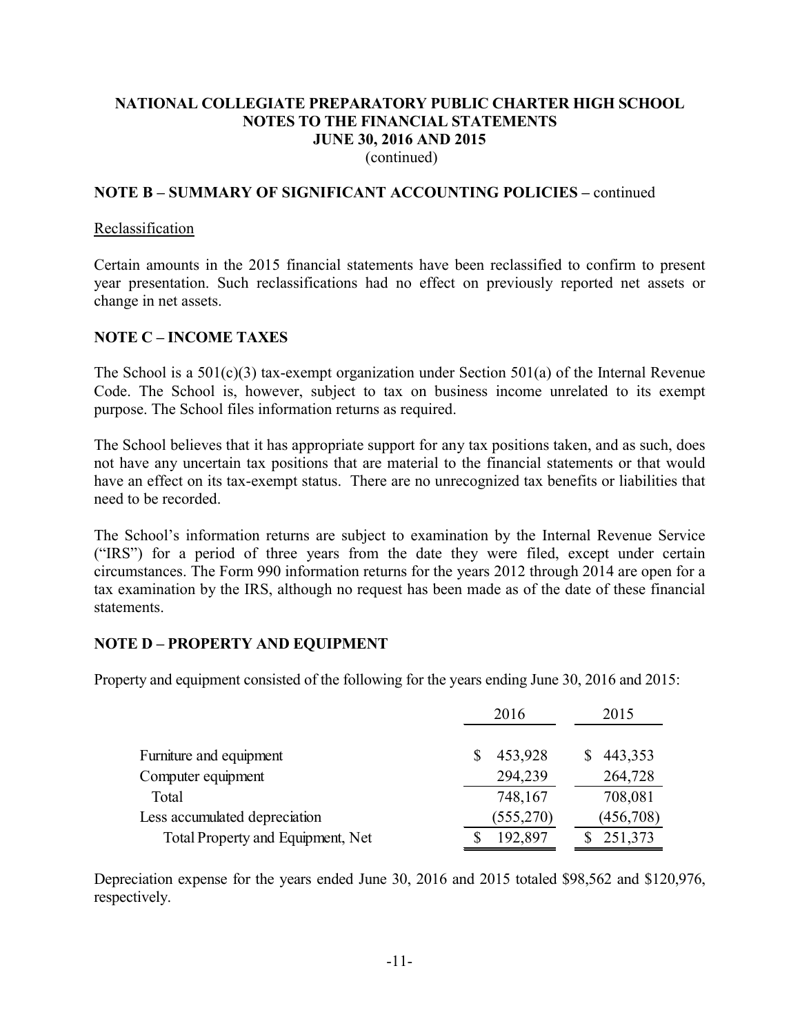#### **NOTE B – SUMMARY OF SIGNIFICANT ACCOUNTING POLICIES –** continued

#### **Reclassification**

Certain amounts in the 2015 financial statements have been reclassified to confirm to present year presentation. Such reclassifications had no effect on previously reported net assets or change in net assets.

#### **NOTE C – INCOME TAXES**

The School is a 501(c)(3) tax-exempt organization under Section 501(a) of the Internal Revenue Code. The School is, however, subject to tax on business income unrelated to its exempt purpose. The School files information returns as required.

The School believes that it has appropriate support for any tax positions taken, and as such, does not have any uncertain tax positions that are material to the financial statements or that would have an effect on its tax-exempt status. There are no unrecognized tax benefits or liabilities that need to be recorded.

The School's information returns are subject to examination by the Internal Revenue Service ("IRS") for a period of three years from the date they were filed, except under certain circumstances. The Form 990 information returns for the years 2012 through 2014 are open for a tax examination by the IRS, although no request has been made as of the date of these financial statements.

#### **NOTE D – PROPERTY AND EQUIPMENT**

Property and equipment consisted of the following for the years ending June 30, 2016 and 2015:

|                                   | 2016 |            | 2015      |  |
|-----------------------------------|------|------------|-----------|--|
| Furniture and equipment           |      | 453,928    | 443,353   |  |
| Computer equipment                |      | 294,239    | 264,728   |  |
| Total                             |      | 748,167    | 708,081   |  |
| Less accumulated depreciation     |      | (555, 270) | (456,708) |  |
| Total Property and Equipment, Net |      | 192,897    | 251,373   |  |

Depreciation expense for the years ended June 30, 2016 and 2015 totaled \$98,562 and \$120,976, respectively.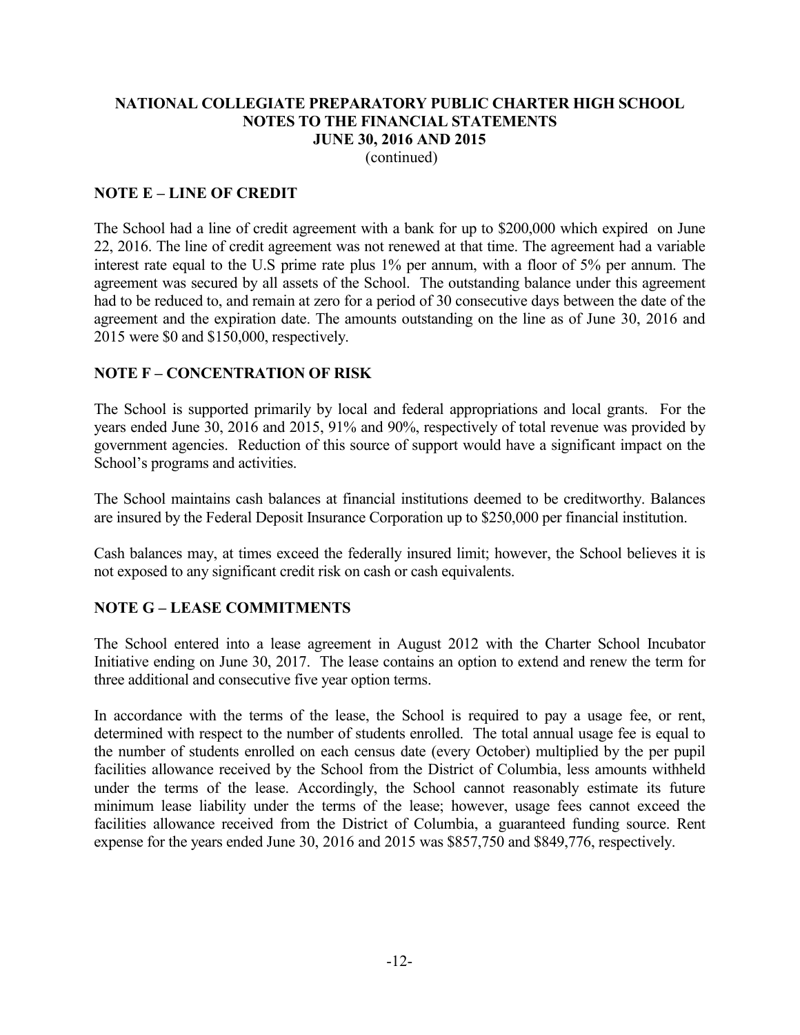(continued)

## **NOTE E – LINE OF CREDIT**

The School had a line of credit agreement with a bank for up to \$200,000 which expired on June 22, 2016. The line of credit agreement was not renewed at that time. The agreement had a variable interest rate equal to the U.S prime rate plus 1% per annum, with a floor of 5% per annum. The agreement was secured by all assets of the School. The outstanding balance under this agreement had to be reduced to, and remain at zero for a period of 30 consecutive days between the date of the agreement and the expiration date. The amounts outstanding on the line as of June 30, 2016 and 2015 were \$0 and \$150,000, respectively.

## **NOTE F – CONCENTRATION OF RISK**

The School is supported primarily by local and federal appropriations and local grants. For the years ended June 30, 2016 and 2015, 91% and 90%, respectively of total revenue was provided by government agencies. Reduction of this source of support would have a significant impact on the School's programs and activities.

The School maintains cash balances at financial institutions deemed to be creditworthy. Balances are insured by the Federal Deposit Insurance Corporation up to \$250,000 per financial institution.

Cash balances may, at times exceed the federally insured limit; however, the School believes it is not exposed to any significant credit risk on cash or cash equivalents.

## **NOTE G – LEASE COMMITMENTS**

The School entered into a lease agreement in August 2012 with the Charter School Incubator Initiative ending on June 30, 2017. The lease contains an option to extend and renew the term for three additional and consecutive five year option terms.

In accordance with the terms of the lease, the School is required to pay a usage fee, or rent, determined with respect to the number of students enrolled. The total annual usage fee is equal to the number of students enrolled on each census date (every October) multiplied by the per pupil facilities allowance received by the School from the District of Columbia, less amounts withheld under the terms of the lease. Accordingly, the School cannot reasonably estimate its future minimum lease liability under the terms of the lease; however, usage fees cannot exceed the facilities allowance received from the District of Columbia, a guaranteed funding source. Rent expense for the years ended June 30, 2016 and 2015 was \$857,750 and \$849,776, respectively.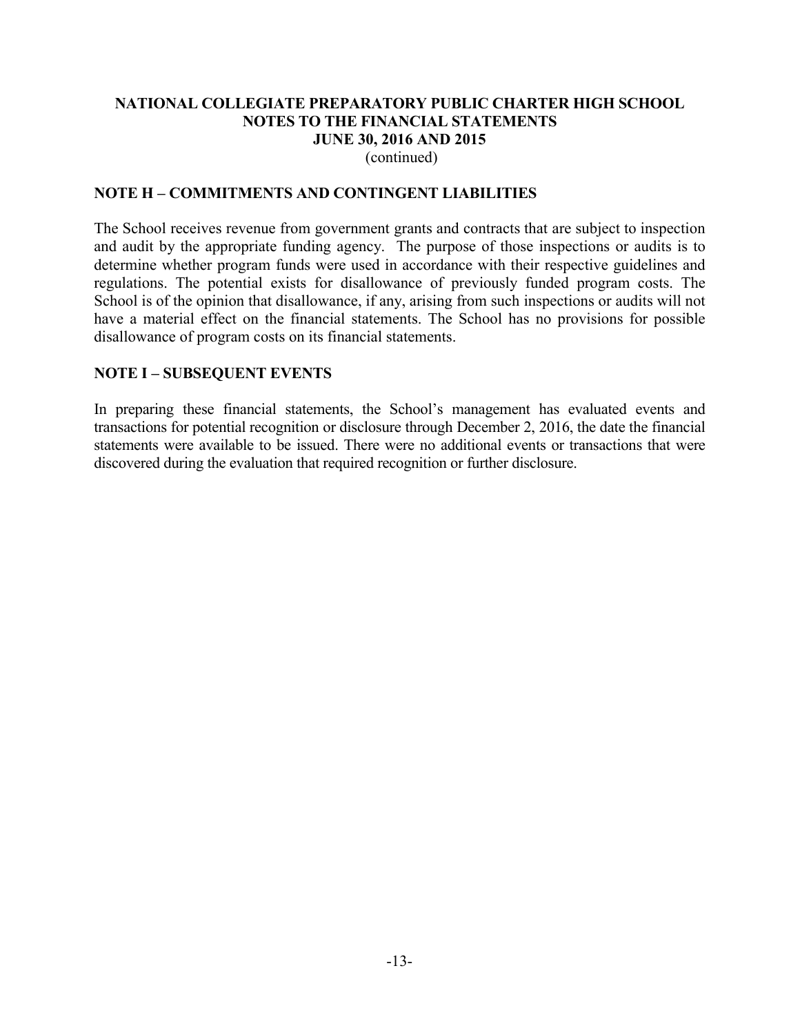(continued)

## **NOTE H – COMMITMENTS AND CONTINGENT LIABILITIES**

The School receives revenue from government grants and contracts that are subject to inspection and audit by the appropriate funding agency. The purpose of those inspections or audits is to determine whether program funds were used in accordance with their respective guidelines and regulations. The potential exists for disallowance of previously funded program costs. The School is of the opinion that disallowance, if any, arising from such inspections or audits will not have a material effect on the financial statements. The School has no provisions for possible disallowance of program costs on its financial statements.

## **NOTE I – SUBSEQUENT EVENTS**

In preparing these financial statements, the School's management has evaluated events and transactions for potential recognition or disclosure through December 2, 2016, the date the financial statements were available to be issued. There were no additional events or transactions that were discovered during the evaluation that required recognition or further disclosure.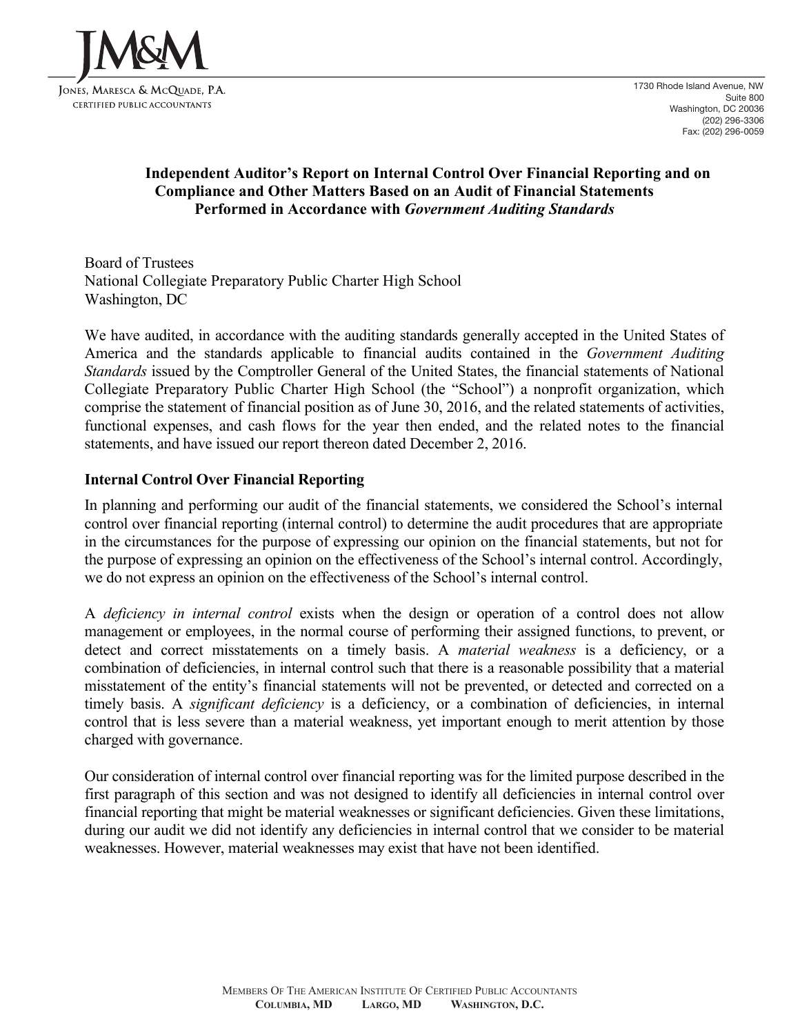

## **Independent Auditor's Report on Internal Control Over Financial Reporting and on Compliance and Other Matters Based on an Audit of Financial Statements Performed in Accordance with** *Government Auditing Standards*

Board of Trustees National Collegiate Preparatory Public Charter High School Washington, DC

We have audited, in accordance with the auditing standards generally accepted in the United States of America and the standards applicable to financial audits contained in the *Government Auditing Standards* issued by the Comptroller General of the United States, the financial statements of National Collegiate Preparatory Public Charter High School (the "School") a nonprofit organization, which comprise the statement of financial position as of June 30, 2016, and the related statements of activities, functional expenses, and cash flows for the year then ended, and the related notes to the financial statements, and have issued our report thereon dated December 2, 2016.

## **Internal Control Over Financial Reporting**

In planning and performing our audit of the financial statements, we considered the School's internal control over financial reporting (internal control) to determine the audit procedures that are appropriate in the circumstances for the purpose of expressing our opinion on the financial statements, but not for the purpose of expressing an opinion on the effectiveness of the School's internal control. Accordingly, we do not express an opinion on the effectiveness of the School's internal control.

A *deficiency in internal control* exists when the design or operation of a control does not allow management or employees, in the normal course of performing their assigned functions, to prevent, or detect and correct misstatements on a timely basis. A *material weakness* is a deficiency, or a combination of deficiencies, in internal control such that there is a reasonable possibility that a material misstatement of the entity's financial statements will not be prevented, or detected and corrected on a timely basis. A *significant deficiency* is a deficiency, or a combination of deficiencies, in internal control that is less severe than a material weakness, yet important enough to merit attention by those charged with governance.

Our consideration of internal control over financial reporting was for the limited purpose described in the first paragraph of this section and was not designed to identify all deficiencies in internal control over financial reporting that might be material weaknesses or significant deficiencies. Given these limitations, during our audit we did not identify any deficiencies in internal control that we consider to be material weaknesses. However, material weaknesses may exist that have not been identified.